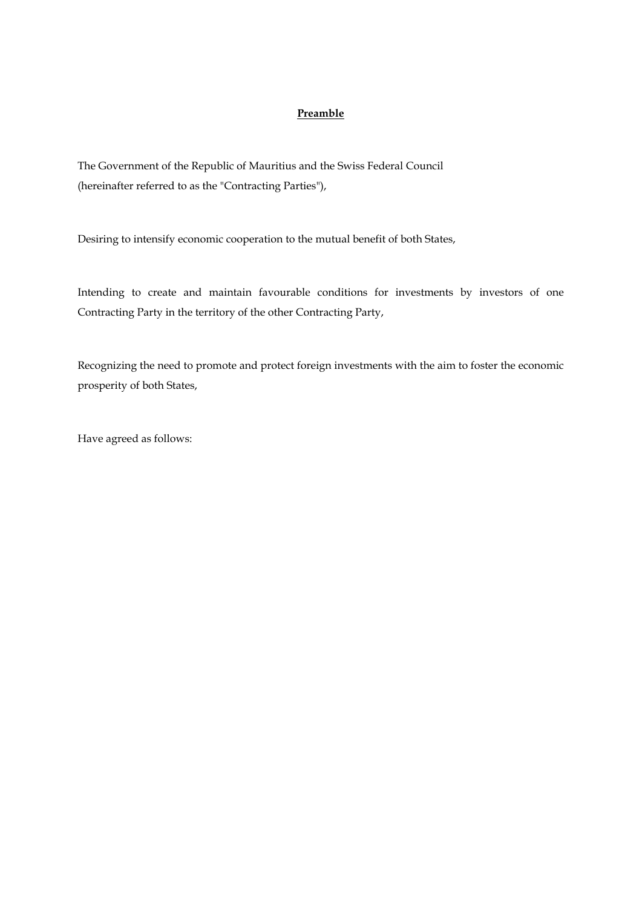## **Preamble**

The Government of the Republic of Mauritius and the Swiss Federal Council (hereinafter referred to as the "Contracting Parties"),

Desiring to intensify economic cooperation to the mutual benefit of both States,

Intending to create and maintain favourable conditions for investments by investors of one Contracting Party in the territory of the other Contracting Party,

Recognizing the need to promote and protect foreign investments with the aim to foster the economic prosperity of both States,

Have agreed as follows: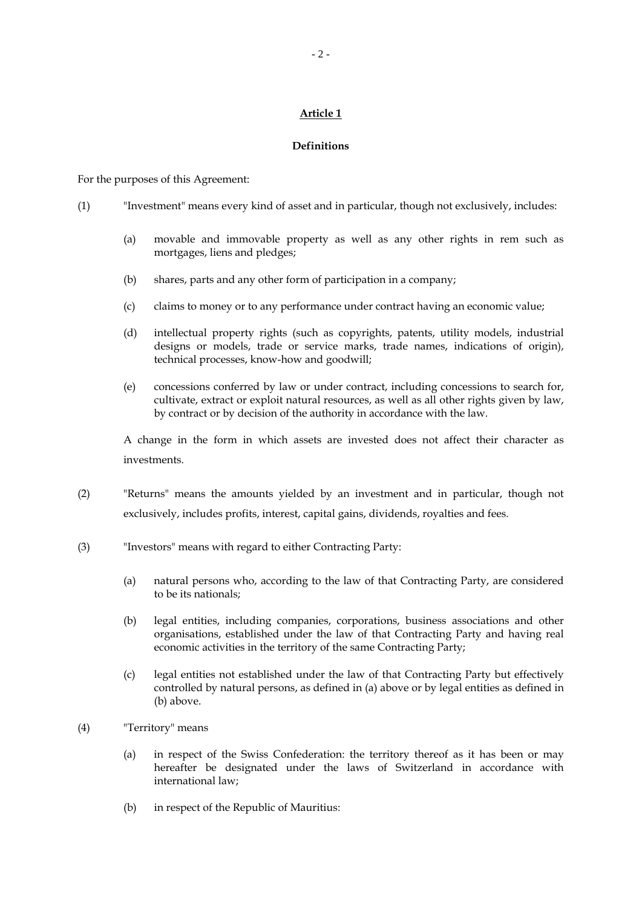## **Definitions**

For the purposes of this Agreement:

- (1) "Investment" means every kind of asset and in particular, though not exclusively, includes:
	- (a) movable and immovable property as well as any other rights in rem such as mortgages, liens and pledges;
	- (b) shares, parts and any other form of participation in a company;
	- (c) claims to money or to any performance under contract having an economic value;
	- (d) intellectual property rights (such as copyrights, patents, utility models, industrial designs or models, trade or service marks, trade names, indications of origin), technical processes, know-how and goodwill;
	- (e) concessions conferred by law or under contract, including concessions to search for, cultivate, extract or exploit natural resources, as well as all other rights given by law, by contract or by decision of the authority in accordance with the law.

 A change in the form in which assets are invested does not affect their character as investments.

- (2) "Returns" means the amounts yielded by an investment and in particular, though not exclusively, includes profits, interest, capital gains, dividends, royalties and fees.
- (3) "Investors" means with regard to either Contracting Party:
	- (a) natural persons who, according to the law of that Contracting Party, are considered to be its nationals;
	- (b) legal entities, including companies, corporations, business associations and other organisations, established under the law of that Contracting Party and having real economic activities in the territory of the same Contracting Party;
	- (c) legal entities not established under the law of that Contracting Party but effectively controlled by natural persons, as defined in (a) above or by legal entities as defined in (b) above.
- (4) "Territory" means
	- (a) in respect of the Swiss Confederation: the territory thereof as it has been or may hereafter be designated under the laws of Switzerland in accordance with international law;
	- (b) in respect of the Republic of Mauritius: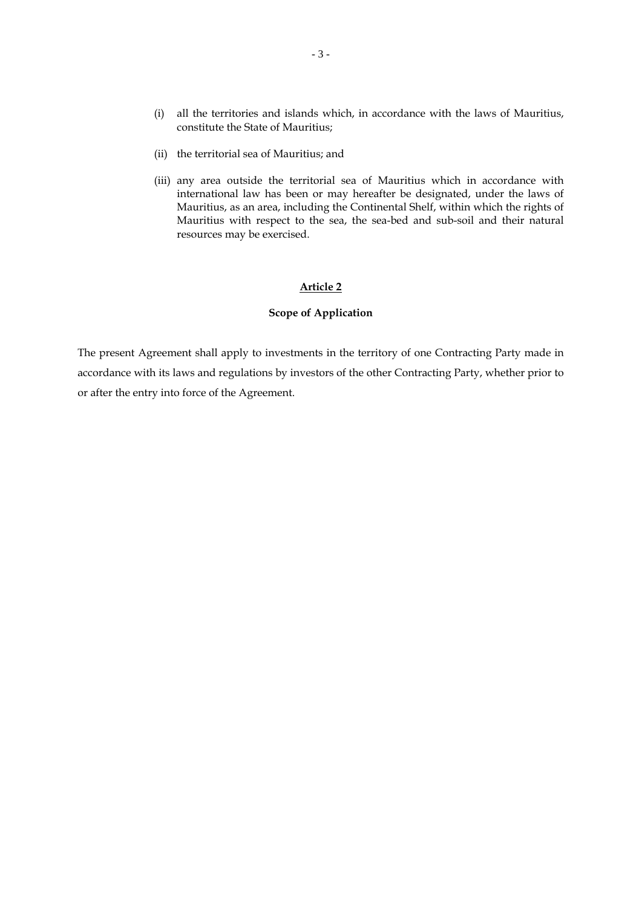- (i) all the territories and islands which, in accordance with the laws of Mauritius, constitute the State of Mauritius;
- (ii) the territorial sea of Mauritius; and
- (iii) any area outside the territorial sea of Mauritius which in accordance with international law has been or may hereafter be designated, under the laws of Mauritius, as an area, including the Continental Shelf, within which the rights of Mauritius with respect to the sea, the sea-bed and sub-soil and their natural resources may be exercised.

## **Scope of Application**

The present Agreement shall apply to investments in the territory of one Contracting Party made in accordance with its laws and regulations by investors of the other Contracting Party, whether prior to or after the entry into force of the Agreement.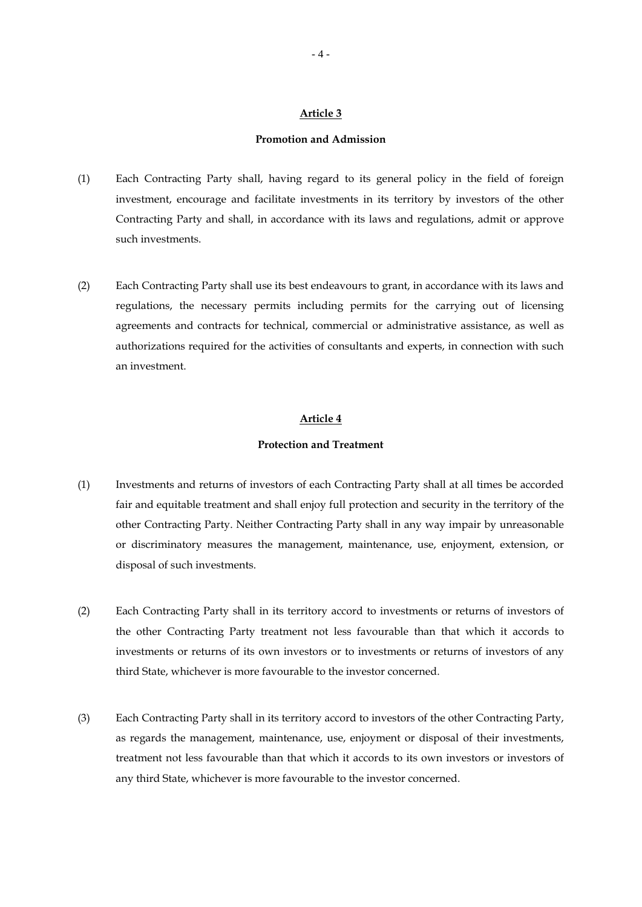### **Promotion and Admission**

- (1) Each Contracting Party shall, having regard to its general policy in the field of foreign investment, encourage and facilitate investments in its territory by investors of the other Contracting Party and shall, in accordance with its laws and regulations, admit or approve such investments.
- (2) Each Contracting Party shall use its best endeavours to grant, in accordance with its laws and regulations, the necessary permits including permits for the carrying out of licensing agreements and contracts for technical, commercial or administrative assistance, as well as authorizations required for the activities of consultants and experts, in connection with such an investment.

## **Article 4**

## **Protection and Treatment**

- (1) Investments and returns of investors of each Contracting Party shall at all times be accorded fair and equitable treatment and shall enjoy full protection and security in the territory of the other Contracting Party. Neither Contracting Party shall in any way impair by unreasonable or discriminatory measures the management, maintenance, use, enjoyment, extension, or disposal of such investments.
- (2) Each Contracting Party shall in its territory accord to investments or returns of investors of the other Contracting Party treatment not less favourable than that which it accords to investments or returns of its own investors or to investments or returns of investors of any third State, whichever is more favourable to the investor concerned.
- (3) Each Contracting Party shall in its territory accord to investors of the other Contracting Party, as regards the management, maintenance, use, enjoyment or disposal of their investments, treatment not less favourable than that which it accords to its own investors or investors of any third State, whichever is more favourable to the investor concerned.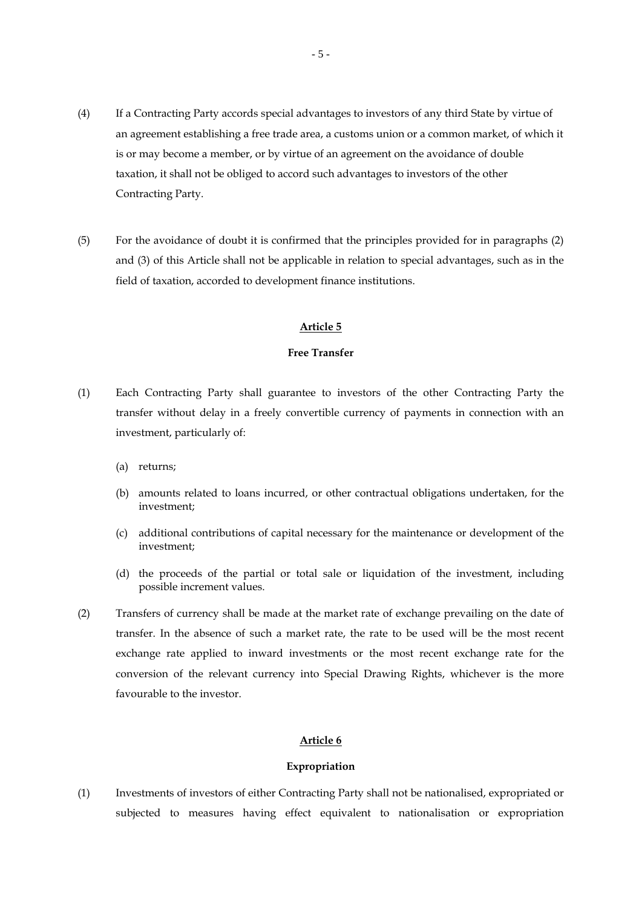- (4) If a Contracting Party accords special advantages to investors of any third State by virtue of an agreement establishing a free trade area, a customs union or a common market, of which it is or may become a member, or by virtue of an agreement on the avoidance of double taxation, it shall not be obliged to accord such advantages to investors of the other Contracting Party.
- (5) For the avoidance of doubt it is confirmed that the principles provided for in paragraphs (2) and (3) of this Article shall not be applicable in relation to special advantages, such as in the field of taxation, accorded to development finance institutions.

#### **Free Transfer**

- (1) Each Contracting Party shall guarantee to investors of the other Contracting Party the transfer without delay in a freely convertible currency of payments in connection with an investment, particularly of:
	- (a) returns;
	- (b) amounts related to loans incurred, or other contractual obligations undertaken, for the investment;
	- (c) additional contributions of capital necessary for the maintenance or development of the investment;
	- (d) the proceeds of the partial or total sale or liquidation of the investment, including possible increment values.
- (2) Transfers of currency shall be made at the market rate of exchange prevailing on the date of transfer. In the absence of such a market rate, the rate to be used will be the most recent exchange rate applied to inward investments or the most recent exchange rate for the conversion of the relevant currency into Special Drawing Rights, whichever is the more favourable to the investor.

### **Article 6**

#### **Expropriation**

(1) Investments of investors of either Contracting Party shall not be nationalised, expropriated or subjected to measures having effect equivalent to nationalisation or expropriation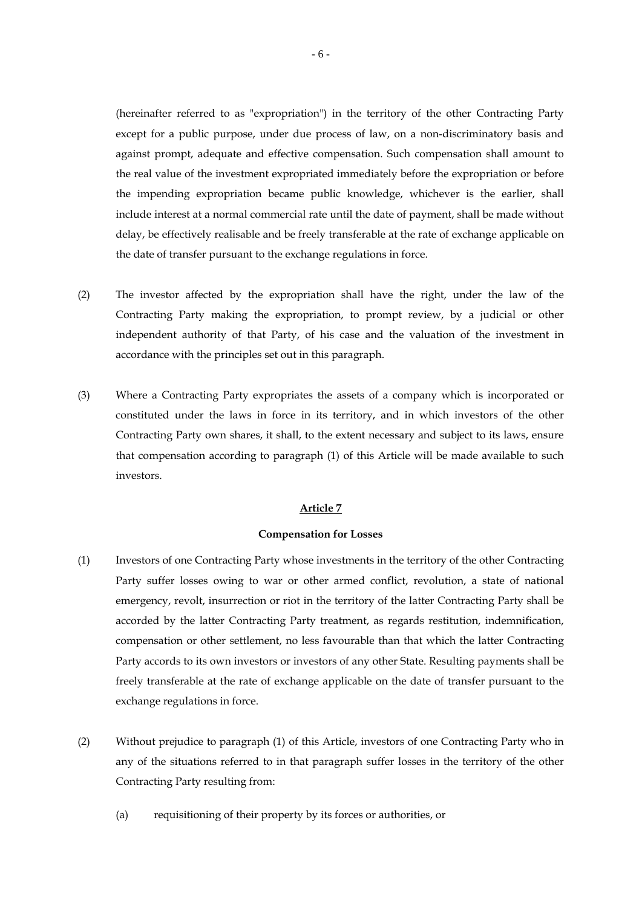(hereinafter referred to as "expropriation") in the territory of the other Contracting Party except for a public purpose, under due process of law, on a non-discriminatory basis and against prompt, adequate and effective compensation. Such compensation shall amount to the real value of the investment expropriated immediately before the expropriation or before the impending expropriation became public knowledge, whichever is the earlier, shall include interest at a normal commercial rate until the date of payment, shall be made without delay, be effectively realisable and be freely transferable at the rate of exchange applicable on the date of transfer pursuant to the exchange regulations in force.

- (2) The investor affected by the expropriation shall have the right, under the law of the Contracting Party making the expropriation, to prompt review, by a judicial or other independent authority of that Party, of his case and the valuation of the investment in accordance with the principles set out in this paragraph.
- (3) Where a Contracting Party expropriates the assets of a company which is incorporated or constituted under the laws in force in its territory, and in which investors of the other Contracting Party own shares, it shall, to the extent necessary and subject to its laws, ensure that compensation according to paragraph (1) of this Article will be made available to such investors.

## **Article 7**

#### **Compensation for Losses**

- (1) Investors of one Contracting Party whose investments in the territory of the other Contracting Party suffer losses owing to war or other armed conflict, revolution, a state of national emergency, revolt, insurrection or riot in the territory of the latter Contracting Party shall be accorded by the latter Contracting Party treatment, as regards restitution, indemnification, compensation or other settlement, no less favourable than that which the latter Contracting Party accords to its own investors or investors of any other State. Resulting payments shall be freely transferable at the rate of exchange applicable on the date of transfer pursuant to the exchange regulations in force.
- (2) Without prejudice to paragraph (1) of this Article, investors of one Contracting Party who in any of the situations referred to in that paragraph suffer losses in the territory of the other Contracting Party resulting from:
	- (a) requisitioning of their property by its forces or authorities, or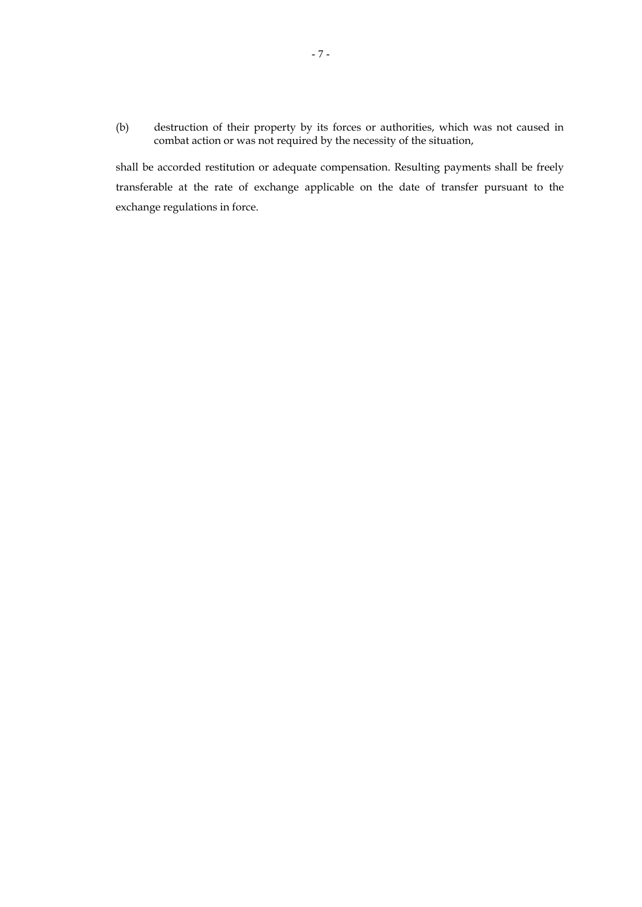(b) destruction of their property by its forces or authorities, which was not caused in combat action or was not required by the necessity of the situation,

 shall be accorded restitution or adequate compensation. Resulting payments shall be freely transferable at the rate of exchange applicable on the date of transfer pursuant to the exchange regulations in force.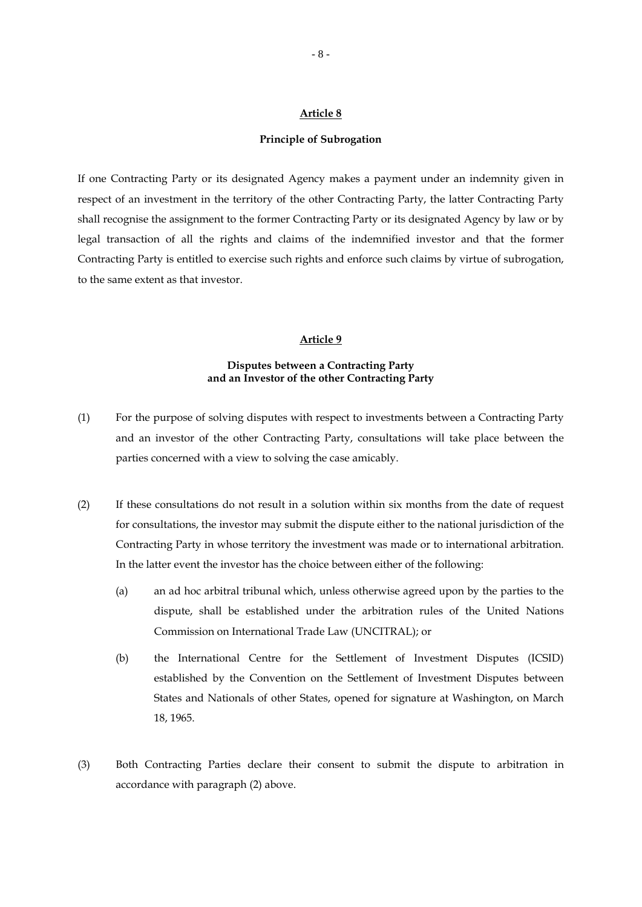### **Principle of Subrogation**

If one Contracting Party or its designated Agency makes a payment under an indemnity given in respect of an investment in the territory of the other Contracting Party, the latter Contracting Party shall recognise the assignment to the former Contracting Party or its designated Agency by law or by legal transaction of all the rights and claims of the indemnified investor and that the former Contracting Party is entitled to exercise such rights and enforce such claims by virtue of subrogation, to the same extent as that investor.

## **Article 9**

## **Disputes between a Contracting Party and an Investor of the other Contracting Party**

- (1) For the purpose of solving disputes with respect to investments between a Contracting Party and an investor of the other Contracting Party, consultations will take place between the parties concerned with a view to solving the case amicably.
- (2) If these consultations do not result in a solution within six months from the date of request for consultations, the investor may submit the dispute either to the national jurisdiction of the Contracting Party in whose territory the investment was made or to international arbitration. In the latter event the investor has the choice between either of the following:
	- (a) an ad hoc arbitral tribunal which, unless otherwise agreed upon by the parties to the dispute, shall be established under the arbitration rules of the United Nations Commission on International Trade Law (UNCITRAL); or
	- (b) the International Centre for the Settlement of Investment Disputes (ICSID) established by the Convention on the Settlement of Investment Disputes between States and Nationals of other States, opened for signature at Washington, on March 18, 1965.
- (3) Both Contracting Parties declare their consent to submit the dispute to arbitration in accordance with paragraph (2) above.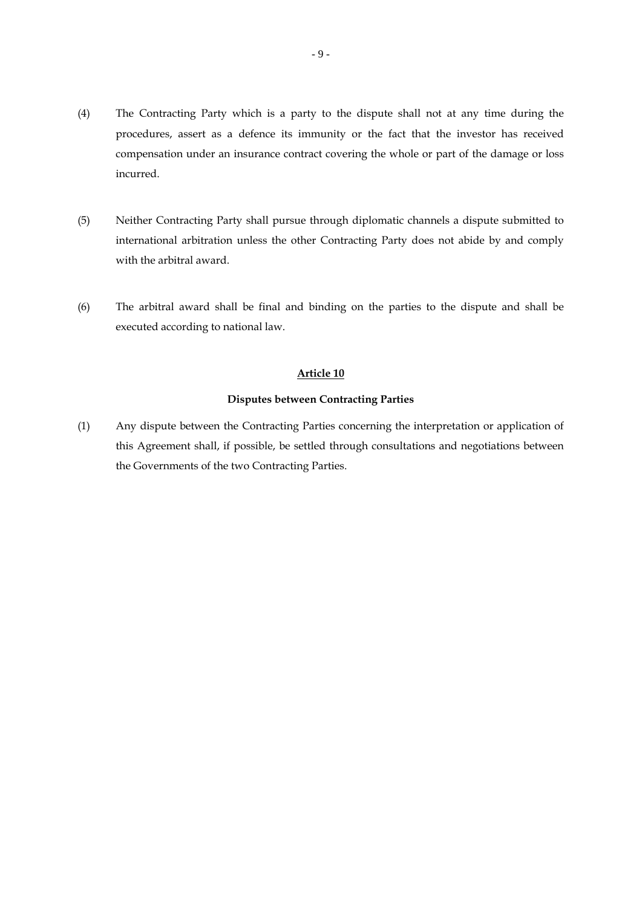- (4) The Contracting Party which is a party to the dispute shall not at any time during the procedures, assert as a defence its immunity or the fact that the investor has received compensation under an insurance contract covering the whole or part of the damage or loss incurred.
- (5) Neither Contracting Party shall pursue through diplomatic channels a dispute submitted to international arbitration unless the other Contracting Party does not abide by and comply with the arbitral award.
- (6) The arbitral award shall be final and binding on the parties to the dispute and shall be executed according to national law.

### **Disputes between Contracting Parties**

(1) Any dispute between the Contracting Parties concerning the interpretation or application of this Agreement shall, if possible, be settled through consultations and negotiations between the Governments of the two Contracting Parties.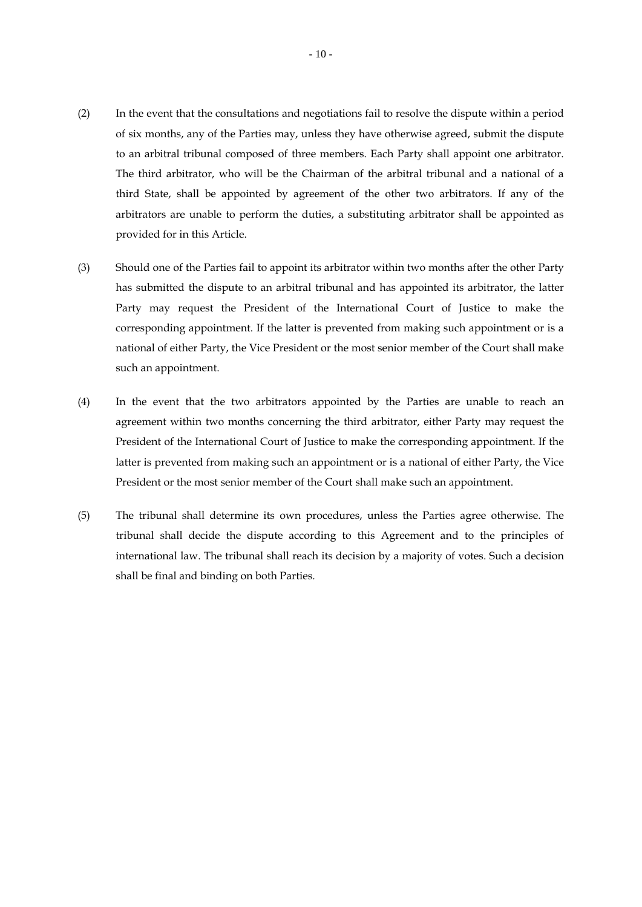- (2) In the event that the consultations and negotiations fail to resolve the dispute within a period of six months, any of the Parties may, unless they have otherwise agreed, submit the dispute to an arbitral tribunal composed of three members. Each Party shall appoint one arbitrator. The third arbitrator, who will be the Chairman of the arbitral tribunal and a national of a third State, shall be appointed by agreement of the other two arbitrators. If any of the arbitrators are unable to perform the duties, a substituting arbitrator shall be appointed as provided for in this Article.
- (3) Should one of the Parties fail to appoint its arbitrator within two months after the other Party has submitted the dispute to an arbitral tribunal and has appointed its arbitrator, the latter Party may request the President of the International Court of Justice to make the corresponding appointment. If the latter is prevented from making such appointment or is a national of either Party, the Vice President or the most senior member of the Court shall make such an appointment.
- (4) In the event that the two arbitrators appointed by the Parties are unable to reach an agreement within two months concerning the third arbitrator, either Party may request the President of the International Court of Justice to make the corresponding appointment. If the latter is prevented from making such an appointment or is a national of either Party, the Vice President or the most senior member of the Court shall make such an appointment.
- (5) The tribunal shall determine its own procedures, unless the Parties agree otherwise. The tribunal shall decide the dispute according to this Agreement and to the principles of international law. The tribunal shall reach its decision by a majority of votes. Such a decision shall be final and binding on both Parties.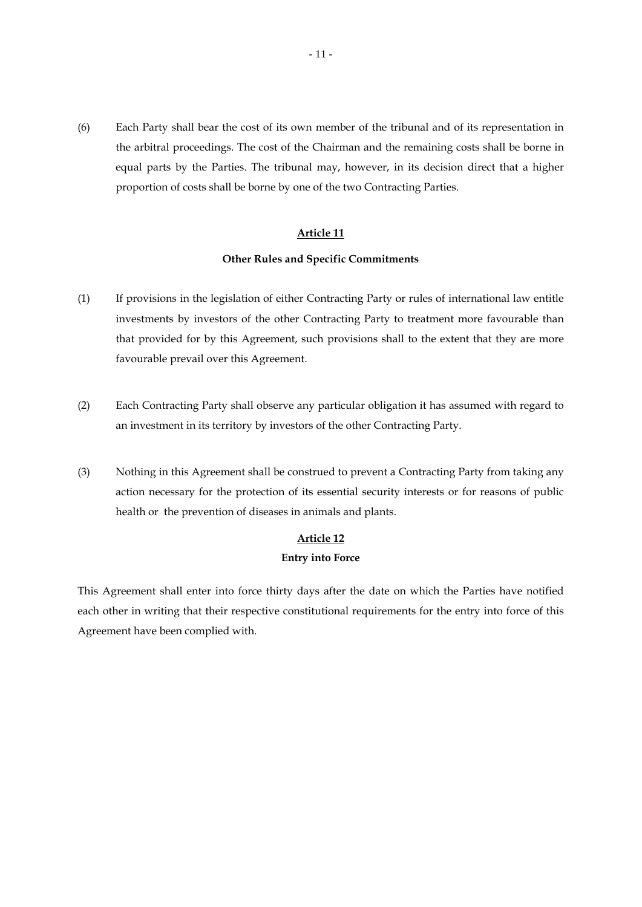(6) Each Party shall bear the cost of its own member of the tribunal and of its representation in the arbitral proceedings. The cost of the Chairman and the remaining costs shall be borne in equal parts by the Parties. The tribunal may, however, in its decision direct that a higher proportion of costs shall be borne by one of the two Contracting Parties.

## **Article 11**

### **Other Rules and Specific Commitments**

- (1) If provisions in the legislation of either Contracting Party or rules of international law entitle investments by investors of the other Contracting Party to treatment more favourable than that provided for by this Agreement, such provisions shall to the extent that they are more favourable prevail over this Agreement.
- (2) Each Contracting Party shall observe any particular obligation it has assumed with regard to an investment in its territory by investors of the other Contracting Party.
- (3) Nothing in this Agreement shall be construed to prevent a Contracting Party from taking any action necessary for the protection of its essential security interests or for reasons of public health or the prevention of diseases in animals and plants.

## **Article 12**

### **Entry into Force**

This Agreement shall enter into force thirty days after the date on which the Parties have notified each other in writing that their respective constitutional requirements for the entry into force of this Agreement have been complied with.